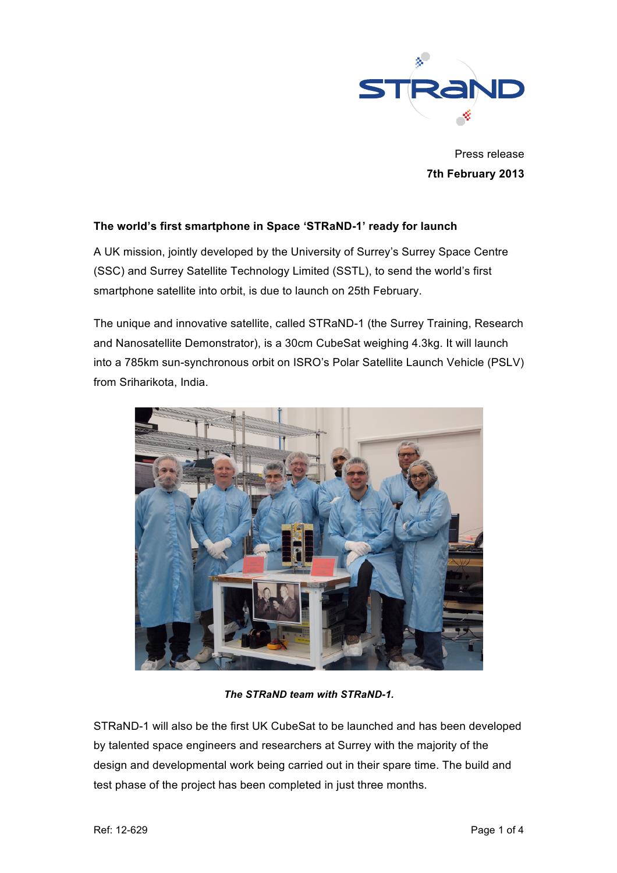

Press release **7th February 2013**

## **The world's first smartphone in Space 'STRaND-1' ready for launch**

A UK mission, jointly developed by the University of Surrey's Surrey Space Centre (SSC) and Surrey Satellite Technology Limited (SSTL), to send the world's first smartphone satellite into orbit, is due to launch on 25th February.

The unique and innovative satellite, called STRaND-1 (the Surrey Training, Research and Nanosatellite Demonstrator), is a 30cm CubeSat weighing 4.3kg. It will launch into a 785km sun-synchronous orbit on ISRO's Polar Satellite Launch Vehicle (PSLV) from Sriharikota, India.



*The STRaND team with STRaND-1.*

STRaND-1 will also be the first UK CubeSat to be launched and has been developed by talented space engineers and researchers at Surrey with the majority of the design and developmental work being carried out in their spare time. The build and test phase of the project has been completed in just three months.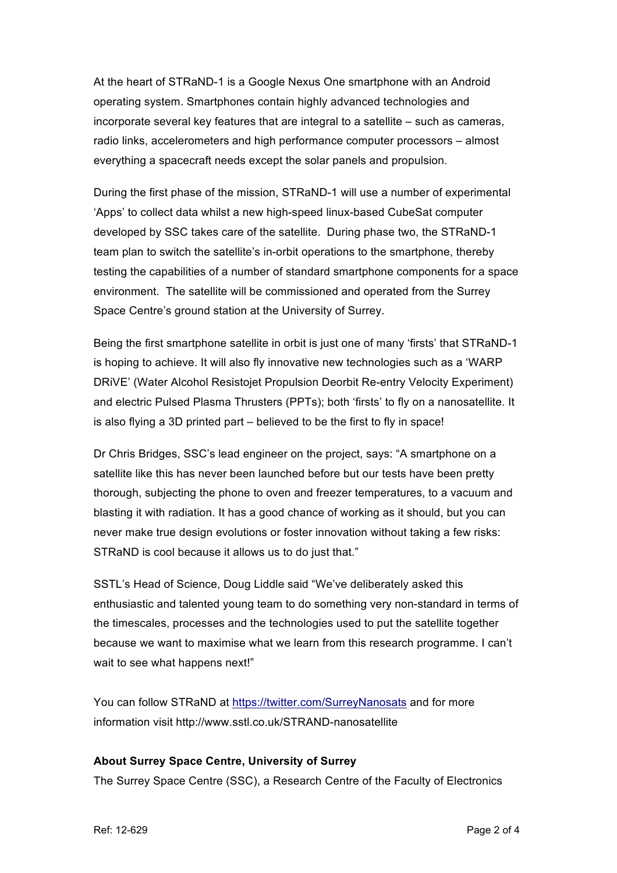At the heart of STRaND-1 is a Google Nexus One smartphone with an Android operating system. Smartphones contain highly advanced technologies and incorporate several key features that are integral to a satellite – such as cameras, radio links, accelerometers and high performance computer processors – almost everything a spacecraft needs except the solar panels and propulsion.

During the first phase of the mission, STRaND-1 will use a number of experimental 'Apps' to collect data whilst a new high-speed linux-based CubeSat computer developed by SSC takes care of the satellite. During phase two, the STRaND-1 team plan to switch the satellite's in-orbit operations to the smartphone, thereby testing the capabilities of a number of standard smartphone components for a space environment. The satellite will be commissioned and operated from the Surrey Space Centre's ground station at the University of Surrey.

Being the first smartphone satellite in orbit is just one of many 'firsts' that STRaND-1 is hoping to achieve. It will also fly innovative new technologies such as a 'WARP DRiVE' (Water Alcohol Resistojet Propulsion Deorbit Re-entry Velocity Experiment) and electric Pulsed Plasma Thrusters (PPTs); both 'firsts' to fly on a nanosatellite. It is also flying a 3D printed part – believed to be the first to fly in space!

Dr Chris Bridges, SSC's lead engineer on the project, says: "A smartphone on a satellite like this has never been launched before but our tests have been pretty thorough, subjecting the phone to oven and freezer temperatures, to a vacuum and blasting it with radiation. It has a good chance of working as it should, but you can never make true design evolutions or foster innovation without taking a few risks: STRaND is cool because it allows us to do just that."

SSTL's Head of Science, Doug Liddle said "We've deliberately asked this enthusiastic and talented young team to do something very non-standard in terms of the timescales, processes and the technologies used to put the satellite together because we want to maximise what we learn from this research programme. I can't wait to see what happens next!"

You can follow STRaND at https://twitter.com/SurreyNanosats and for more information visit http://www.sstl.co.uk/STRAND-nanosatellite

## **About Surrey Space Centre, University of Surrey**

The Surrey Space Centre (SSC), a Research Centre of the Faculty of Electronics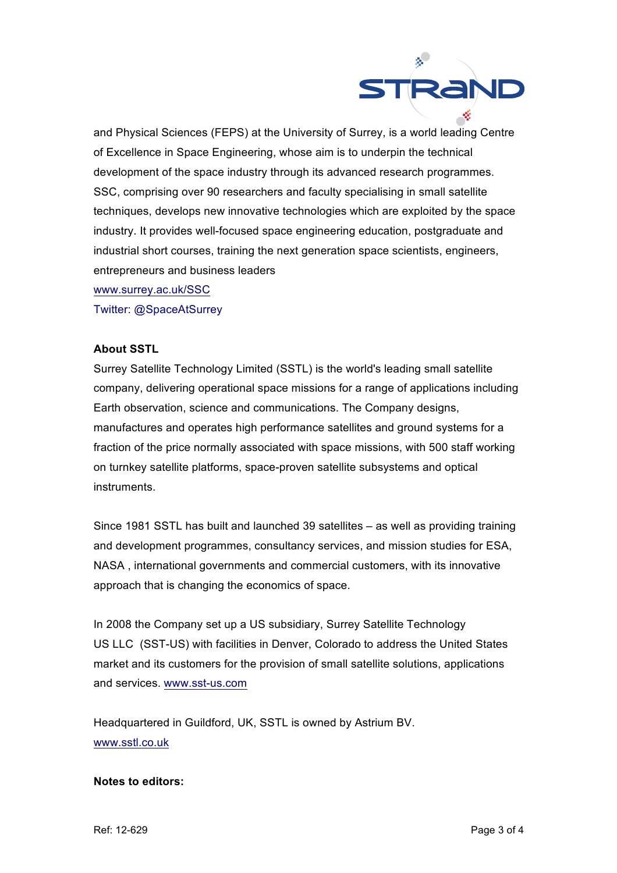

and Physical Sciences (FEPS) at the University of Surrey, is a world leading Centre of Excellence in Space Engineering, whose aim is to underpin the technical development of the space industry through its advanced research programmes. SSC, comprising over 90 researchers and faculty specialising in small satellite techniques, develops new innovative technologies which are exploited by the space industry. It provides well-focused space engineering education, postgraduate and industrial short courses, training the next generation space scientists, engineers, entrepreneurs and business leaders

www.surrey.ac.uk/SSC

Twitter: @SpaceAtSurrey

### **About SSTL**

Surrey Satellite Technology Limited (SSTL) is the world's leading small satellite company, delivering operational space missions for a range of applications including Earth observation, science and communications. The Company designs, manufactures and operates high performance satellites and ground systems for a fraction of the price normally associated with space missions, with 500 staff working on turnkey satellite platforms, space-proven satellite subsystems and optical instruments.

Since 1981 SSTL has built and launched 39 satellites – as well as providing training and development programmes, consultancy services, and mission studies for ESA, NASA , international governments and commercial customers, with its innovative approach that is changing the economics of space.

In 2008 the Company set up a US subsidiary, Surrey Satellite Technology US LLC (SST-US) with facilities in Denver, Colorado to address the United States market and its customers for the provision of small satellite solutions, applications and services. www.sst-us.com

Headquartered in Guildford, UK, SSTL is owned by Astrium BV. www.sstl.co.uk

#### **Notes to editors:**